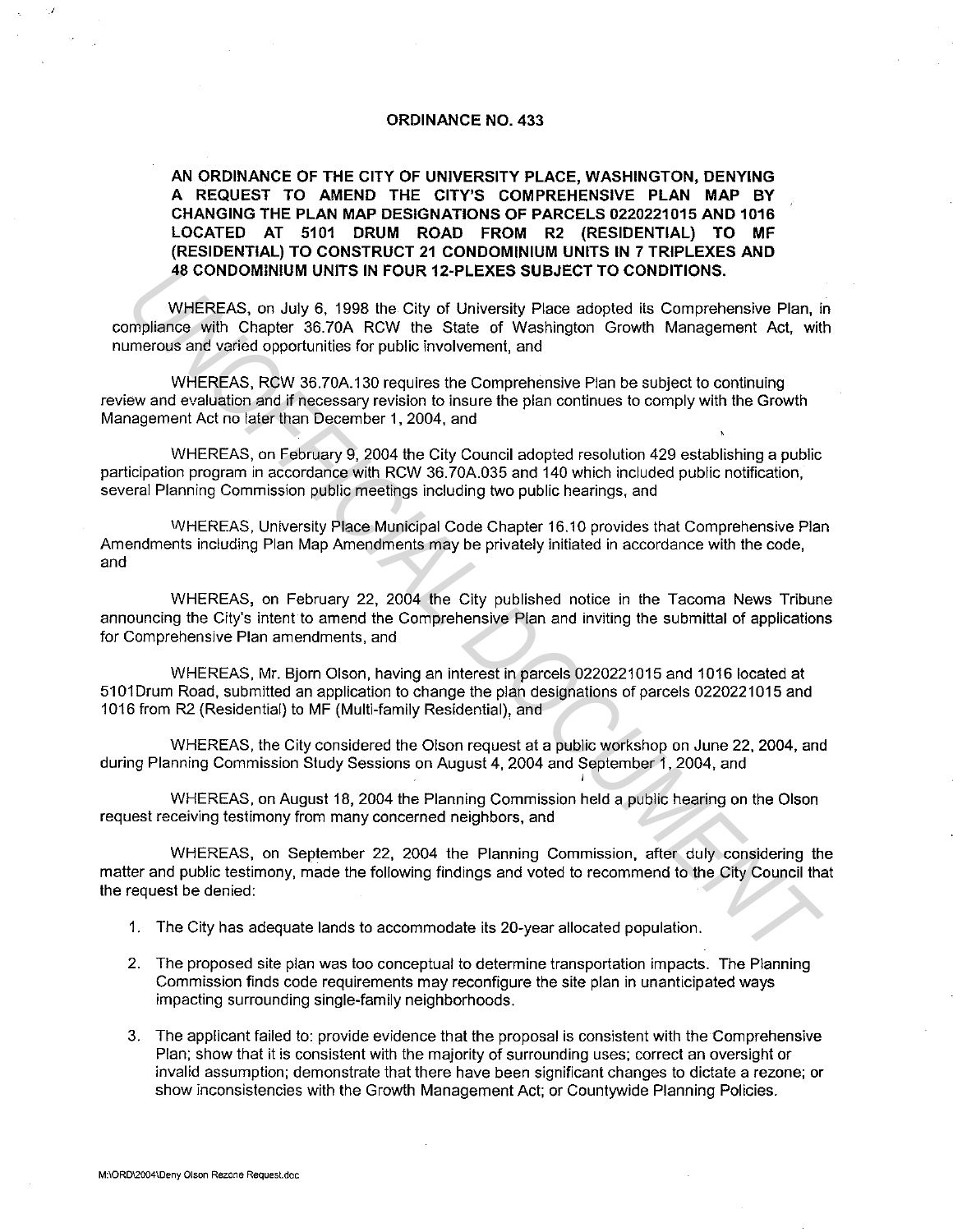## ORDINANCE NO. 433

AN ORDINANCE OF THE CITY OF UNIVERSITY PLACE, WASHINGTON, DENYING A REQUEST TO AMEND THE CITY'S COMPREHENSIVE PLAN MAP BY CHANGING THE PLAN MAP DESIGNATIONS OF PARCELS 0220221015 AND 1016 LOCATED AT 5101 DRUM ROAD FROM R2 (RESIDENTIAL) TO MF (RESIDENTIAL) TO CONSTRUCT 21 CONDOMINIUM UNITS IN 7 TRIPLEXES AND 48 CONDOMINIUM UNITS IN FOUR 12-PLEXES SUBJECT TO CONDITIONS.

WHEREAS, on July 6. 1998 the City of University Place adopted its Comprehensive Plan, in compliance with Chapter 36.70A RCW the State of Washington Growth Management Act, with numerous and varied opportunities for public involvement, and 48 CONDOMINUM UNITS IN FOUR 12-PLEXES SUBJECT TO CONDITIONS.<br>
WHEREAS, on July 6, 1998 the City of University Place adopted its Competentation<br>
impliance with Chapter 36.704 RCW the State of Washington Growth Management Ac

WHEREAS, RCW 36.70A.130 requires the Comprehensive Plan be subject to continuing review and evaluation and if necessary revision to insure the plan continues to comply with the Growth Management Act no later than December 1, 2004, and

WHEREAS, on February 9, 2004 the City Council adopted resolution 429 establishing a public participation program in accordance with RCW 36. 70A.035 and 140 which included public notification, several Planning Commission public meetings including two public hearings, and

WHEREAS, University Place Municipal Code Chapter 16.10 provides that Comprehensive Plan Amendments including Plan Map Amendments may be privately initiated in accordance with the code, and

WHEREAS, on February 22, 2004 the City published notice in the Tacoma News Tribune announcing the City's intent to amend the Comprehensive Plan and inviting the submittal of applications for Comprehensive Plan amendments, and

WHEREAS, Mr. Bjorn Olson, having an interest in parcels 0220221015 and 1016 located at 5101Drum Road, submitted an application to change the plan designations of parcels 0220221015 and 1016 from R2 (Residential} to MF (Multi-family Residential}, and

WHEREAS, the City considered the Olson request at a public workshop on June 22, 2004, and during Planning Commission Study Sessions on August 4, 2004 and September 1, 2004, and

I

WHEREAS, on August 18, 2004 the Planning Commission held a public hearing on the Olson request receiving testimony from many concerned neighbors, and

WHEREAS, on September 22, 2004 the Planning Commission, after duly considering the matter and public testimony, made the following findings and voted to recommend to the City Council that the request be denied:

- 1. The City has adequate lands to accommodate its 20-year allocated population.
- 2. The proposed site plan was too conceptual to determine transportation impacts. The Planning Commission finds code requirements may reconfigure the site plan in unanticipated ways impacting surrounding single-family neighborhoods.
- 3. The applicant failed to: provide evidence that the proposal is consistent with the Comprehensive Plan; show that it is consistent with the majority of surrounding uses; correct an oversight or invalid assumption; demonstrate that there have been significant changes to dictate a rezone; or show inconsistencies with the Growth Management Act; or Countywide Planning Policies.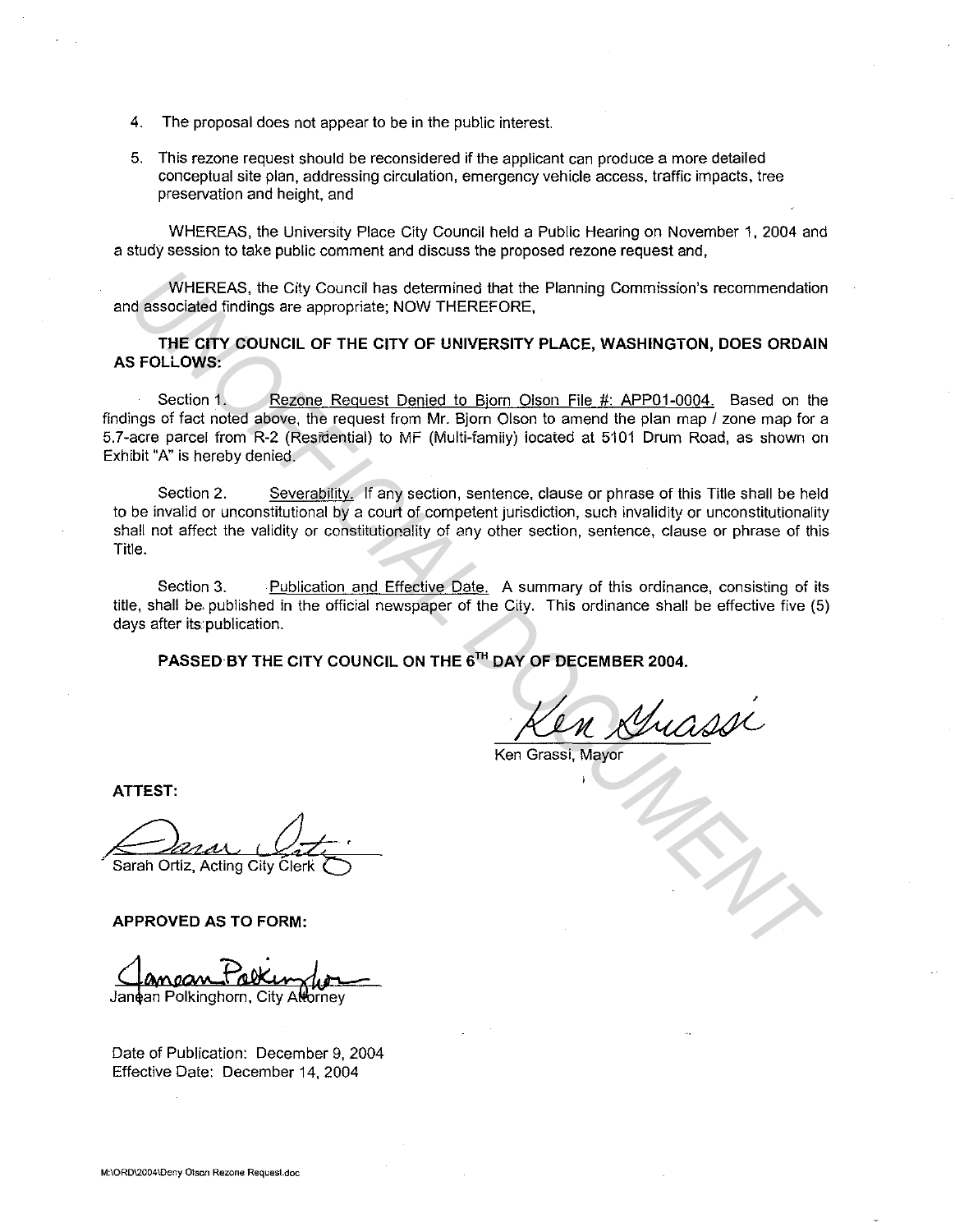- 4. The proposal does not appear to be in the public interest.
- 5. This rezone request should be reconsidered if the applicant can produce a more detailed conceptual site plan, addressing circulation, emergency vehicle access, traffic impacts, tree preservation and height, and

WHEREAS, the University Place City Council held a Public Hearing on November 1, 2004 and a study session to take public comment and discuss the proposed rezone request and,

WHEREAS, the City Council has determined that the Planning Commission's recommendation and associated findings are appropriate; NOW THEREFORE,

**THE CITY COUNCIL OF THE CITY OF UNIVERSITY PLACE, WASHINGTON, DOES ORDAIN AS FOLLOWS:** 

Section 1. Rezone Request Denied to Bjorn Oison File #: APP01-0004. Based on the findings of fact noted above, the request from Mr. Bjorn Olson to amend the plan map / zone map for a 5.7-acre parcel from R-2 (Residential) to MF (Multi-famiiyj iocaied at 5'101 Drum Road, as shown on Exhibit "A" is hereby denied.

Section 2. Severability. If any section, sentence, clause or phrase of this Title shall be held to be invalid or unconstitutional by a court of competent jurisdiction, such invalidity or unconstitutionality shall not affect the validity or constitutionality of any other section, sentence, clause or phrase of this Title. WHEREAS, the City Council has determined that the Planning Commission's recommendation<br> **UNIFICIAL DOCUMENT COUNCIL OF THE CITY OF UNIVERSITY PLACE, WASHINGTON, DOES ORDAIN<br>
THE CITY COUNCIL OF THE CITY OF UNIVERSITY PLACE** 

Section 3. Publication and Effective Date. A summary of this ordinance, consisting of its title, shall be. published in the official newspaper of the City. This ordinance shall be effective five (5) days after its publication.

**PASSED BY THE CITY COUNCIL ON THE** 5TH **DAY OF DECEMBER 2004.** 

Ken Grassi, Mayor

**ATTEST:** 

**APPROVED AS TO FORM:** 

Janean Polkinghorn, City At hmev

Date of Publication: December 9, 2004 Effective Date: December 14, 2004